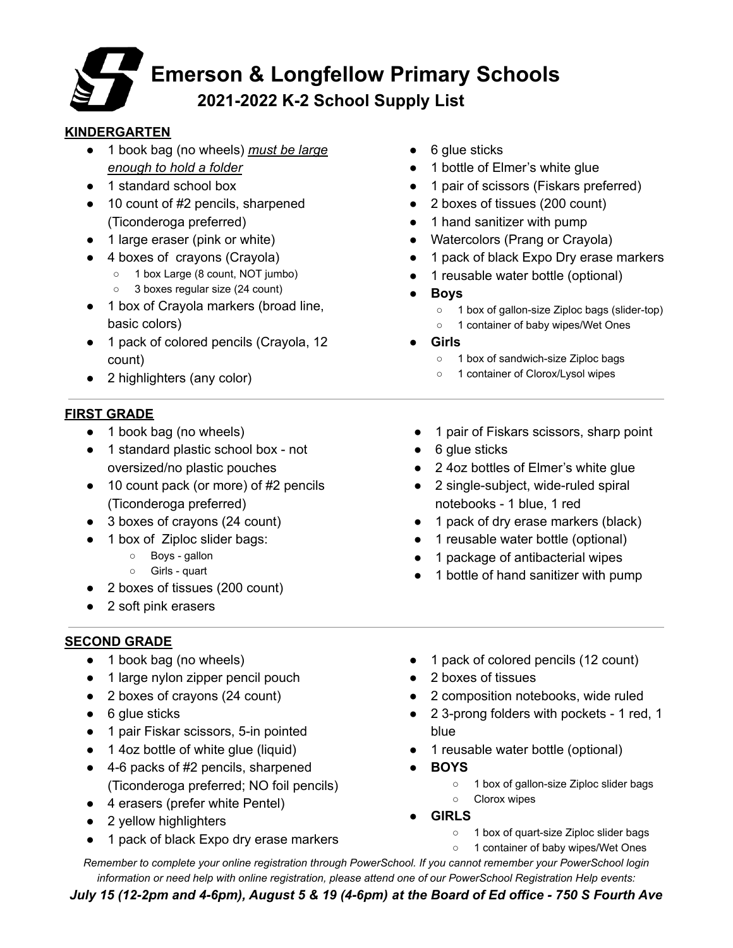## **Emerson & Longfellow Primary Schools 2021-2022 K-2 School Supply List**

## **KINDERGARTEN**

- 1 book bag (no wheels) *must be large enough to hold a folder*
- 1 standard school box
- 10 count of #2 pencils, sharpened (Ticonderoga preferred)
- 1 large eraser (pink or white)
- 4 boxes of crayons (Crayola)
	- 1 box Large (8 count, NOT jumbo)
		- 3 boxes regular size (24 count)
- 1 box of Crayola markers (broad line, basic colors)
- 1 pack of colored pencils (Crayola, 12 count)
- 2 highlighters (any color)

## **FIRST GRADE**

- 1 book bag (no wheels)
- 1 standard plastic school box not oversized/no plastic pouches
- 10 count pack (or more) of #2 pencils (Ticonderoga preferred)
- 3 boxes of crayons (24 count)
- 1 box of Ziploc slider bags:
	- Boys gallon
	- Girls quart
- 2 boxes of tissues (200 count)
- 2 soft pink erasers

## **SECOND GRADE**

- 1 book bag (no wheels)
- 1 large nylon zipper pencil pouch
- 2 boxes of crayons (24 count)
- 6 glue sticks
- 1 pair Fiskar scissors, 5-in pointed
- 1 4oz bottle of white glue (liquid)
- 4-6 packs of #2 pencils, sharpened (Ticonderoga preferred; NO foil pencils)
- 4 erasers (prefer white Pentel)
- 2 yellow highlighters
- 1 pack of black Expo dry erase markers
- 6 glue sticks
- 1 bottle of Elmer's white glue
- 1 pair of scissors (Fiskars preferred)
- 2 boxes of tissues (200 count)
- 1 hand sanitizer with pump
- Watercolors (Prang or Crayola)
- 1 pack of black Expo Dry erase markers
- 1 reusable water bottle (optional)
- **● Boys**
	- 1 box of gallon-size Ziploc bags (slider-top)
	- 1 container of baby wipes/Wet Ones
- **● Girls**
	- 1 box of sandwich-size Ziploc bags
	- 1 container of Clorox/Lysol wipes
- 1 pair of Fiskars scissors, sharp point
- 6 glue sticks
- 2 4oz bottles of Elmer's white glue
- 2 single-subject, wide-ruled spiral notebooks - 1 blue, 1 red
- 1 pack of dry erase markers (black)
- 1 reusable water bottle (optional)
- 1 package of antibacterial wipes
- 1 bottle of hand sanitizer with pump
- 1 pack of colored pencils (12 count)
- 2 boxes of tissues
- 2 composition notebooks, wide ruled
- 2 3-prong folders with pockets 1 red, 1 blue
- 1 reusable water bottle (optional)
- **● BOYS**
	- **○** 1 box of gallon-size Ziploc slider bags
	- **○** Clorox wipes
- **● GIRLS**
	- **○** 1 box of quart-size Ziploc slider bags
	- **○** 1 container of baby wipes/Wet Ones

*Remember to complete your online registration through PowerSchool. If you cannot remember your PowerSchool login information or need help with online registration, please attend one of our PowerSchool Registration Help events:*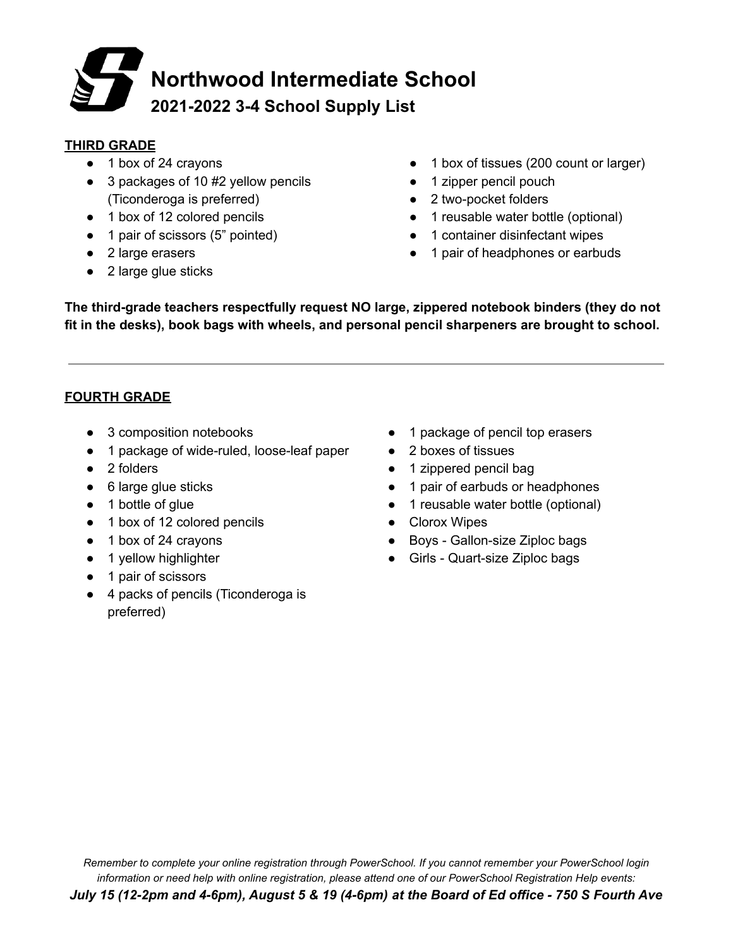# **Northwood Intermediate School 2021-2022 3-4 School Supply List**

#### **THIRD GRADE**

- 1 box of 24 crayons
- 3 packages of 10 #2 yellow pencils (Ticonderoga is preferred)
- 1 box of 12 colored pencils
- 1 pair of scissors (5" pointed)
- 2 large erasers
- 2 large glue sticks
- 1 box of tissues (200 count or larger)
- 1 zipper pencil pouch
- 2 two-pocket folders
- 1 reusable water bottle (optional)
- 1 container disinfectant wipes
- 1 pair of headphones or earbuds

**The third-grade teachers respectfully request NO large, zippered notebook binders (they do not fit in the desks), book bags with wheels, and personal pencil sharpeners are brought to school.**

## **FOURTH GRADE**

- 3 composition notebooks
- 1 package of wide-ruled, loose-leaf paper
- 2 folders
- 6 large glue sticks
- 1 bottle of glue
- 1 box of 12 colored pencils
- 1 box of 24 crayons
- 1 yellow highlighter
- 1 pair of scissors
- 4 packs of pencils (Ticonderoga is preferred)
- 1 package of pencil top erasers
- 2 boxes of tissues
- 1 zippered pencil bag
- 1 pair of earbuds or headphones
- 1 reusable water bottle (optional)
- Clorox Wipes
- Boys Gallon-size Ziploc bags
- Girls Quart-size Ziploc bags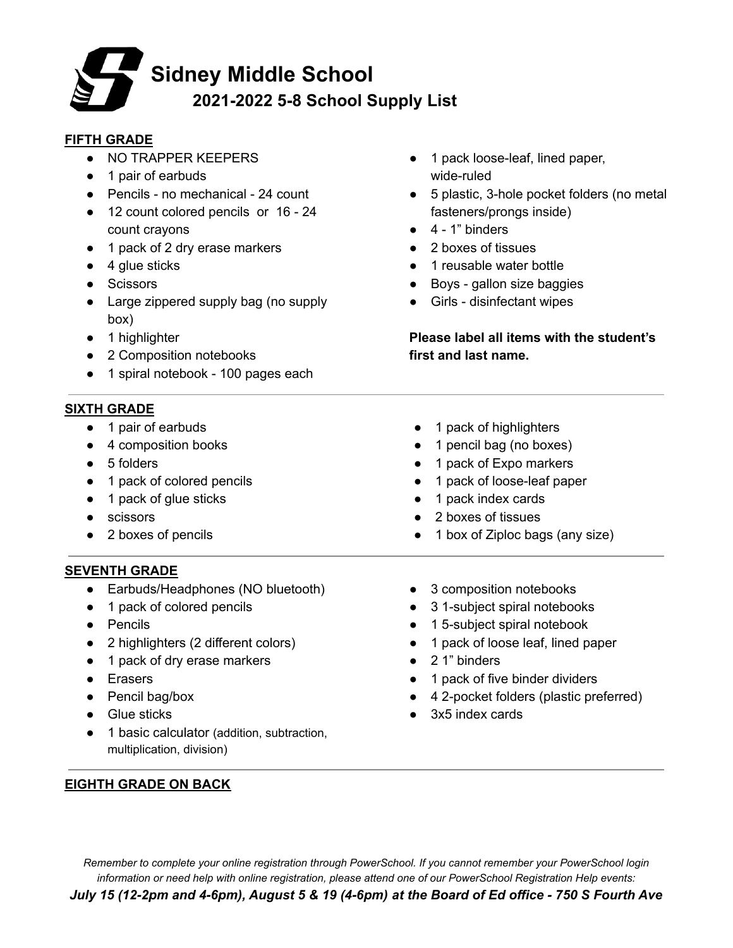## **Sidney Middle School 2021-2022 5-8 School Supply List**

#### **FIFTH GRADE**

- NO TRAPPER KEEPERS
- 1 pair of earbuds
- Pencils no mechanical 24 count
- 12 count colored pencils or 16 24 count crayons
- 1 pack of 2 dry erase markers
- $\bullet$  4 glue sticks
- Scissors
- Large zippered supply bag (no supply box)
- 1 highlighter
- 2 Composition notebooks
- 1 spiral notebook 100 pages each

#### **SIXTH GRADE**

- 1 pair of earbuds
- 4 composition books
- 5 folders
- 1 pack of colored pencils
- 1 pack of glue sticks
- scissors
- 2 boxes of pencils

## **SEVENTH GRADE**

- **●** Earbuds/Headphones (NO bluetooth)
- **●** 1 pack of colored pencils
- **●** Pencils
- **●** 2 highlighters (2 different colors)
- **●** 1 pack of dry erase markers
- **●** Erasers
- **●** Pencil bag/box
- **●** Glue sticks
- **●** 1 basic calculator (addition, subtraction, multiplication, division)
- **EIGHTH GRADE ON BACK**
- 1 pack loose-leaf, lined paper, wide-ruled
- 5 plastic, 3-hole pocket folders (no metal fasteners/prongs inside)
- $\bullet$  4 1" binders
- 2 boxes of tissues
- 1 reusable water bottle
- Boys gallon size baggies
- Girls disinfectant wipes

**Please label all items with the student's first and last name.**

- 1 pack of highlighters
- 1 pencil bag (no boxes)
- 1 pack of Expo markers
- 1 pack of loose-leaf paper
- 1 pack index cards
- 2 boxes of tissues
- 1 box of Ziploc bags (any size)
- **●** 3 composition notebooks
- **●** 3 1-subject spiral notebooks
- **●** 1 5-subject spiral notebook
- **●** 1 pack of loose leaf, lined paper
- **●** 2 1" binders
- **●** 1 pack of five binder dividers
- **●** 4 2-pocket folders (plastic preferred)
- **●** 3x5 index cards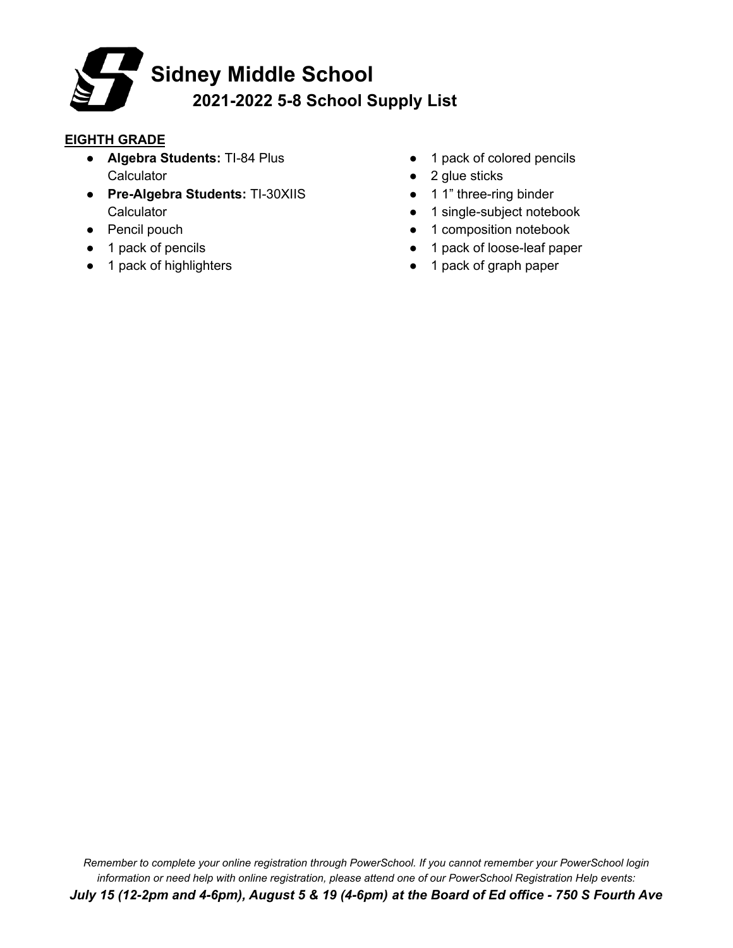

#### **EIGHTH GRADE**

- **● Algebra Students:** TI-84 Plus **Calculator**
- **● Pre-Algebra Students:** TI-30XIIS **Calculator**
- **●** Pencil pouch
- **●** 1 pack of pencils
- **●** 1 pack of highlighters
- **●** 1 pack of colored pencils
- **●** 2 glue sticks
- **●** 1 1" three-ring binder
- **●** 1 single-subject notebook
- **●** 1 composition notebook
- **●** 1 pack of loose-leaf paper
- **●** 1 pack of graph paper

*Remember to complete your online registration through PowerSchool. If you cannot remember your PowerSchool login information or need help with online registration, please attend one of our PowerSchool Registration Help events:* July 15 (12-2pm and 4-6pm), August 5 & 19 (4-6pm) at the Board of Ed office - 750 S Fourth Ave